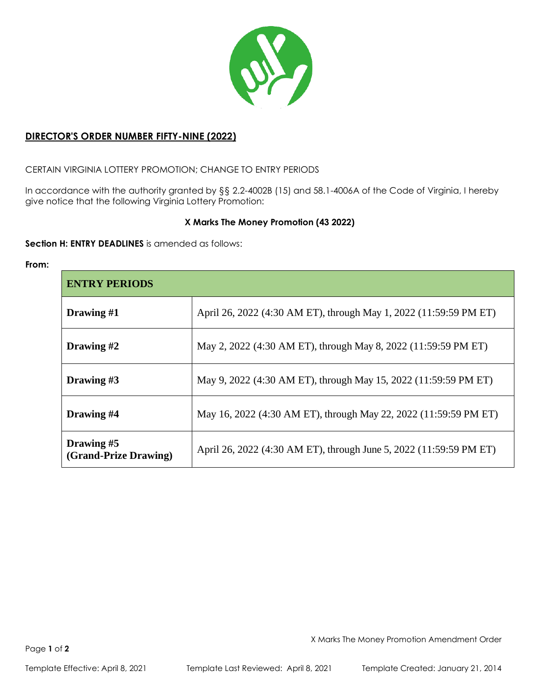

# **DIRECTOR'S ORDER NUMBER FIFTY-NINE (2022)**

CERTAIN VIRGINIA LOTTERY PROMOTION; CHANGE TO ENTRY PERIODS

In accordance with the authority granted by §§ 2.2-4002B (15) and 58.1-4006A of the Code of Virginia, I hereby give notice that the following Virginia Lottery Promotion:

# **X Marks The Money Promotion (43 2022)**

**Section H: ENTRY DEADLINES** is amended as follows:

**From:**

| <b>ENTRY PERIODS</b>                |                                                                    |  |
|-------------------------------------|--------------------------------------------------------------------|--|
| Drawing $#1$                        | April 26, 2022 (4:30 AM ET), through May 1, 2022 (11:59:59 PM ET)  |  |
| Drawing #2                          | May 2, 2022 (4:30 AM ET), through May 8, 2022 (11:59:59 PM ET)     |  |
| Drawing #3                          | May 9, 2022 (4:30 AM ET), through May 15, 2022 (11:59:59 PM ET)    |  |
| Drawing #4                          | May 16, 2022 (4:30 AM ET), through May 22, 2022 (11:59:59 PM ET)   |  |
| Drawing #5<br>(Grand-Prize Drawing) | April 26, 2022 (4:30 AM ET), through June 5, 2022 (11:59:59 PM ET) |  |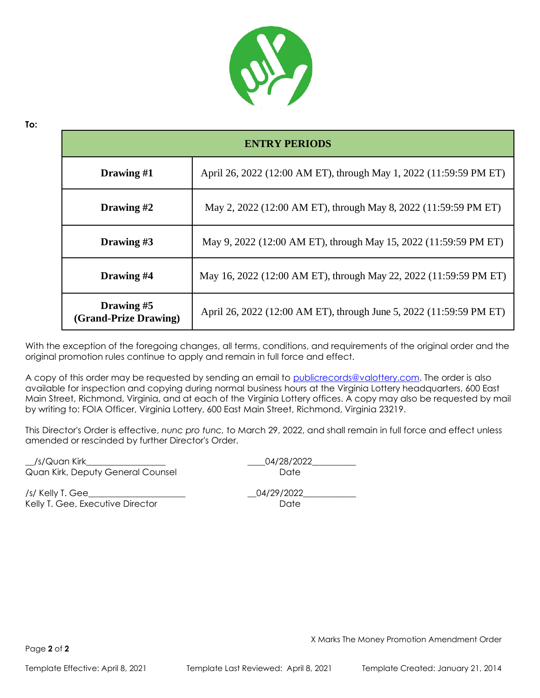

| <b>ENTRY PERIODS</b>                |                                                                     |  |
|-------------------------------------|---------------------------------------------------------------------|--|
| Drawing #1                          | April 26, 2022 (12:00 AM ET), through May 1, 2022 (11:59:59 PM ET)  |  |
| Drawing #2                          | May 2, 2022 (12:00 AM ET), through May 8, 2022 (11:59:59 PM ET)     |  |
| Drawing #3                          | May 9, 2022 (12:00 AM ET), through May 15, 2022 (11:59:59 PM ET)    |  |
| Drawing #4                          | May 16, 2022 (12:00 AM ET), through May 22, 2022 (11:59:59 PM ET)   |  |
| Drawing #5<br>(Grand-Prize Drawing) | April 26, 2022 (12:00 AM ET), through June 5, 2022 (11:59:59 PM ET) |  |

With the exception of the foregoing changes, all terms, conditions, and requirements of the original order and the original promotion rules continue to apply and remain in full force and effect.

A copy of this order may be requested by sending an email to [publicrecords@valottery.com.](mailto:publicrecords@valottery.com) The order is also available for inspection and copying during normal business hours at the Virginia Lottery headquarters, 600 East Main Street, Richmond, Virginia, and at each of the Virginia Lottery offices. A copy may also be requested by mail by writing to: FOIA Officer, Virginia Lottery, 600 East Main Street, Richmond, Virginia 23219.

This Director's Order is effective, *nunc pro tunc,* to March 29, 2022, and shall remain in full force and effect unless amended or rescinded by further Director's Order.

\_\_/s/Quan Kirk\_\_\_\_\_\_\_\_\_\_\_\_\_\_\_\_\_\_ \_\_\_\_04/28/2022\_\_\_\_\_\_\_\_\_\_ Quan Kirk, Deputy General Counsel **Date** Date /s/ Kelly T. Gee\_\_\_\_\_\_\_\_\_\_\_\_\_\_\_\_\_\_\_\_\_\_ \_\_04/29/2022\_\_\_\_\_\_\_\_\_\_\_\_

Kelly T. Gee, Executive Director **Example 20** and the Date

**To:**

X Marks The Money Promotion Amendment Order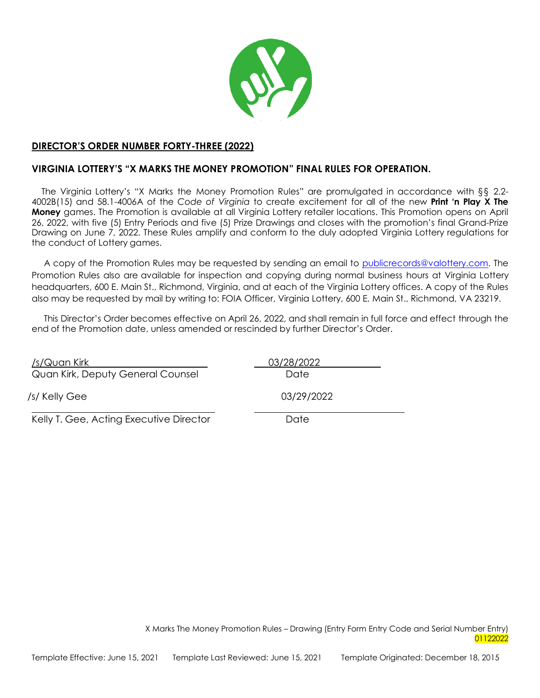

### **DIRECTOR'S ORDER NUMBER FORTY-THREE (2022)**

# **VIRGINIA LOTTERY'S "X MARKS THE MONEY PROMOTION" FINAL RULES FOR OPERATION.**

The Virginia Lottery's "X Marks the Money Promotion Rules" are promulgated in accordance with §§ 2.2- 4002B(15) and 58.1-4006A of the *Code of Virginia* to create excitement for all of the new **Print 'n Play X The Money** games. The Promotion is available at all Virginia Lottery retailer locations. This Promotion opens on April 26, 2022, with five (5) Entry Periods and five (5) Prize Drawings and closes with the promotion's final Grand-Prize Drawing on June 7, 2022. These Rules amplify and conform to the duly adopted Virginia Lottery regulations for the conduct of Lottery games.

A copy of the Promotion Rules may be requested by sending an email to [publicrecords@valottery.com.](mailto:publicrecords@valottery.com) The Promotion Rules also are available for inspection and copying during normal business hours at Virginia Lottery headquarters, 600 E. Main St., Richmond, Virginia, and at each of the Virginia Lottery offices. A copy of the Rules also may be requested by mail by writing to: FOIA Officer, Virginia Lottery, 600 E. Main St., Richmond, VA 23219.

This Director's Order becomes effective on April 26, 2022, and shall remain in full force and effect through the end of the Promotion date, unless amended or rescinded by further Director's Order.

/s/Quan Kirk 03/28/2022 Quan Kirk, Deputy General Counsel **Date** Date /s/ Kelly Gee 03/29/2022 Kelly T. Gee, Acting Executive Director Date

> X Marks The Money Promotion Rules – Drawing (Entry Form Entry Code and Serial Number Entry) 01122022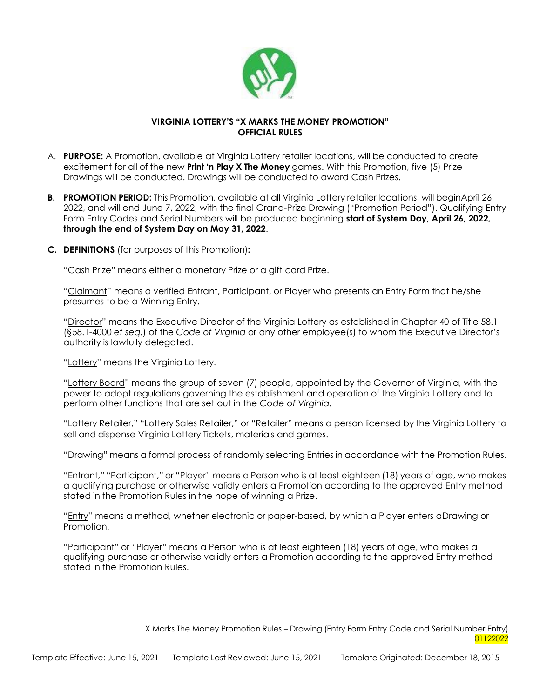

# **VIRGINIA LOTTERY'S "X MARKS THE MONEY PROMOTION" OFFICIAL RULES**

- A. **PURPOSE:** A Promotion, available at Virginia Lottery retailer locations, will be conducted to create excitement for all of the new **Print 'n Play X The Money** games. With this Promotion, five (5) Prize Drawings will be conducted. Drawings will be conducted to award Cash Prizes.
- **B. PROMOTION PERIOD:** This Promotion, available at all Virginia Lottery retailer locations, will beginApril 26, 2022, and will end June 7, 2022, with the final Grand-Prize Drawing ("Promotion Period"). Qualifying Entry Form Entry Codes and Serial Numbers will be produced beginning **start of System Day, April 26, 2022, through the end of System Day on May 31, 2022**.
- **C. DEFINITIONS** (for purposes of this Promotion)**:**

"Cash Prize" means either a monetary Prize or a gift card Prize.

"Claimant" means a verified Entrant, Participant, or Player who presents an Entry Form that he/she presumes to be a Winning Entry.

"Director" means the Executive Director of the Virginia Lottery as established in Chapter 40 of Title 58.1 (§58.1-4000 *et seq.*) of the *Code of Virginia* or any other employee(s) to whom the Executive Director's authority is lawfully delegated.

"Lottery" means the Virginia Lottery.

"Lottery Board" means the group of seven (7) people, appointed by the Governor of Virginia, with the power to adopt regulations governing the establishment and operation of the Virginia Lottery and to perform other functions that are set out in the *Code of Virginia.*

"Lottery Retailer," "Lottery Sales Retailer," or "Retailer" means a person licensed by the Virginia Lottery to sell and dispense Virginia Lottery Tickets, materials and games.

"Drawing" means a formal process of randomly selecting Entries in accordance with the Promotion Rules.

"Entrant," "Participant," or "Player" means a Person who is at least eighteen (18) years of age, who makes a qualifying purchase or otherwise validly enters a Promotion according to the approved Entry method stated in the Promotion Rules in the hope of winning a Prize.

"Entry" means a method, whether electronic or paper-based, by which a Player enters aDrawing or Promotion.

"Participant" or "Player" means a Person who is at least eighteen (18) years of age, who makes a qualifying purchase or otherwise validly enters a Promotion according to the approved Entry method stated in the Promotion Rules.

> X Marks The Money Promotion Rules – Drawing (Entry Form Entry Code and Serial Number Entry) 01122022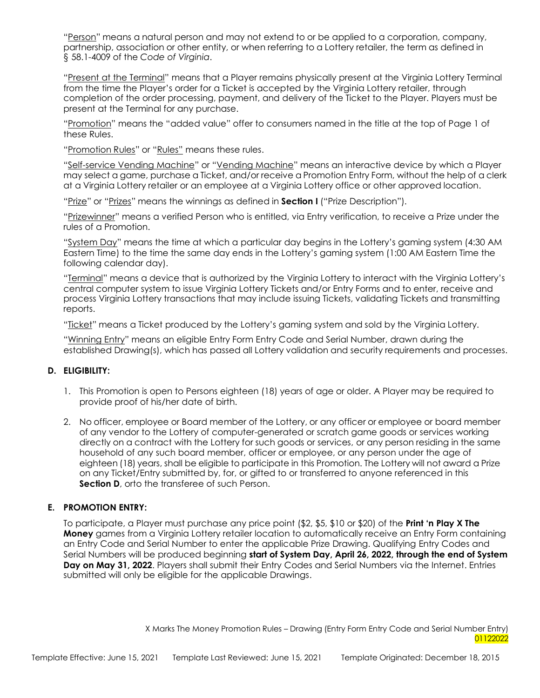"Person" means a natural person and may not extend to or be applied to a corporation, company, partnership, association or other entity, or when referring to a Lottery retailer, the term as defined in § 58.1-4009 of the *Code of Virginia*.

"Present at the Terminal" means that a Player remains physically present at the Virginia Lottery Terminal from the time the Player's order for a Ticket is accepted by the Virginia Lottery retailer, through completion of the order processing, payment, and delivery of the Ticket to the Player. Players must be present at the Terminal for any purchase.

"Promotion" means the "added value" offer to consumers named in the title at the top of Page 1 of these Rules.

"Promotion Rules" or "Rules" means these rules.

"Self-service Vending Machine" or "Vending Machine" means an interactive device by which a Player may select a game, purchase a Ticket, and/or receive a Promotion Entry Form, without the help of a clerk at a Virginia Lottery retailer or an employee at a Virginia Lottery office or other approved location.

"Prize" or "Prizes" means the winnings as defined in **Section I** ("Prize Description").

"Prizewinner" means a verified Person who is entitled, via Entry verification, to receive a Prize under the rules of a Promotion.

"System Day" means the time at which a particular day begins in the Lottery's gaming system (4:30 AM Eastern Time) to the time the same day ends in the Lottery's gaming system (1:00 AM Eastern Time the following calendar day).

"Terminal" means a device that is authorized by the Virginia Lottery to interact with the Virginia Lottery's central computer system to issue Virginia Lottery Tickets and/or Entry Forms and to enter, receive and process Virginia Lottery transactions that may include issuing Tickets, validating Tickets and transmitting reports.

"Ticket" means a Ticket produced by the Lottery's gaming system and sold by the Virginia Lottery.

"Winning Entry" means an eligible Entry Form Entry Code and Serial Number, drawn during the established Drawing(s), which has passed all Lottery validation and security requirements and processes.

# **D. ELIGIBILITY:**

- 1. This Promotion is open to Persons eighteen (18) years of age or older. A Player may be required to provide proof of his/her date of birth.
- 2. No officer, employee or Board member of the Lottery, or any officer or employee or board member of any vendor to the Lottery of computer-generated or scratch game goods or services working directly on a contract with the Lottery for such goods or services, or any person residing in the same household of any such board member, officer or employee, or any person under the age of eighteen (18) years, shall be eligible to participate in this Promotion. The Lottery will not award a Prize on any Ticket/Entry submitted by, for, or gifted to or transferred to anyone referenced in this **Section D**, orto the transferee of such Person.

# **E. PROMOTION ENTRY:**

To participate, a Player must purchase any price point (\$2, \$5, \$10 or \$20) of the **Print 'n Play X The Money** games from a Virginia Lottery retailer location to automatically receive an Entry Form containing an Entry Code and Serial Number to enter the applicable Prize Drawing. Qualifying Entry Codes and Serial Numbers will be produced beginning **start of System Day, April 26, 2022, through the end of System Day on May 31, 2022**. Players shall submit their Entry Codes and Serial Numbers via the Internet. Entries submitted will only be eligible for the applicable Drawings.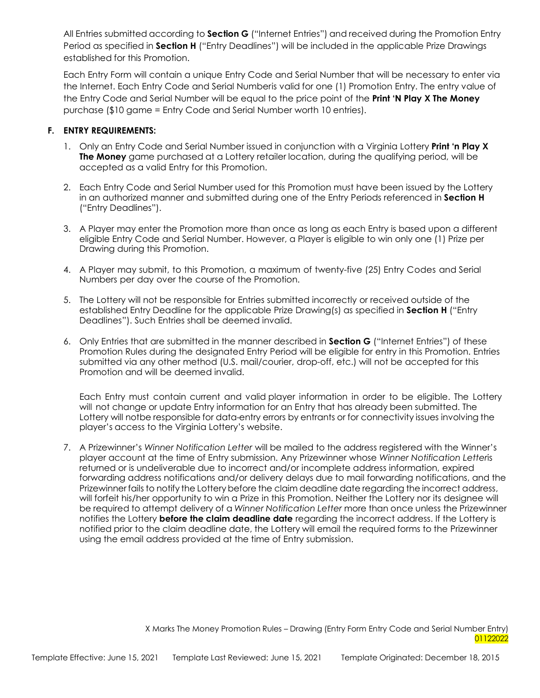All Entries submitted according to **Section G** ("Internet Entries") and received during the Promotion Entry Period as specified in **Section H** ("Entry Deadlines") will be included in the applicable Prize Drawings established for this Promotion.

Each Entry Form will contain a unique Entry Code and Serial Number that will be necessary to enter via the Internet. Each Entry Code and Serial Numberis valid for one (1) Promotion Entry. The entry value of the Entry Code and Serial Number will be equal to the price point of the **Print 'N Play X The Money** purchase (\$10 game = Entry Code and Serial Number worth 10 entries).

# **F. ENTRY REQUIREMENTS:**

- 1. Only an Entry Code and Serial Number issued in conjunction with a Virginia Lottery **Print 'n Play X The Money** game purchased at a Lottery retailer location, during the qualifying period, will be accepted as a valid Entry for this Promotion.
- 2. Each Entry Code and Serial Number used for this Promotion must have been issued by the Lottery in an authorized manner and submitted during one of the Entry Periods referenced in **Section H** ("Entry Deadlines").
- 3. A Player may enter the Promotion more than once as long as each Entry is based upon a different eligible Entry Code and Serial Number. However, a Player is eligible to win only one (1) Prize per Drawing during this Promotion.
- 4. A Player may submit, to this Promotion, a maximum of twenty-five (25) Entry Codes and Serial Numbers per day over the course of the Promotion.
- 5. The Lottery will not be responsible for Entries submitted incorrectly or received outside of the established Entry Deadline for the applicable Prize Drawing(s) as specified in **Section H** ("Entry Deadlines"). Such Entries shall be deemed invalid.
- 6. Only Entries that are submitted in the manner described in **Section G** ("Internet Entries") of these Promotion Rules during the designated Entry Period will be eligible for entry in this Promotion. Entries submitted via any other method (U.S. mail/courier, drop-off, etc.) will not be accepted for this Promotion and will be deemed invalid.

Each Entry must contain current and valid player information in order to be eligible. The Lottery will not change or update Entry information for an Entry that has already been submitted. The Lottery will notbe responsible for data-entry errors by entrants or for connectivity issues involving the player's access to the Virginia Lottery's website.

7. A Prizewinner's *Winner Notification Letter* will be mailed to the address registered with the Winner's player account at the time of Entry submission. Any Prizewinner whose *Winner Notification Letter*is returned or is undeliverable due to incorrect and/or incomplete address information, expired forwarding address notifications and/or delivery delays due to mail forwarding notifications, and the Prizewinner fails to notify the Lotterybefore the claim deadline date regarding the incorrect address, will forfeit his/her opportunity to win a Prize in this Promotion. Neither the Lottery nor its designee will be required to attempt delivery of a *Winner Notification Letter* more than once unless the Prizewinner notifies the Lottery **before the claim deadline date** regarding the incorrect address. If the Lottery is notified prior to the claim deadline date, the Lottery will email the required forms to the Prizewinner using the email address provided at the time of Entry submission.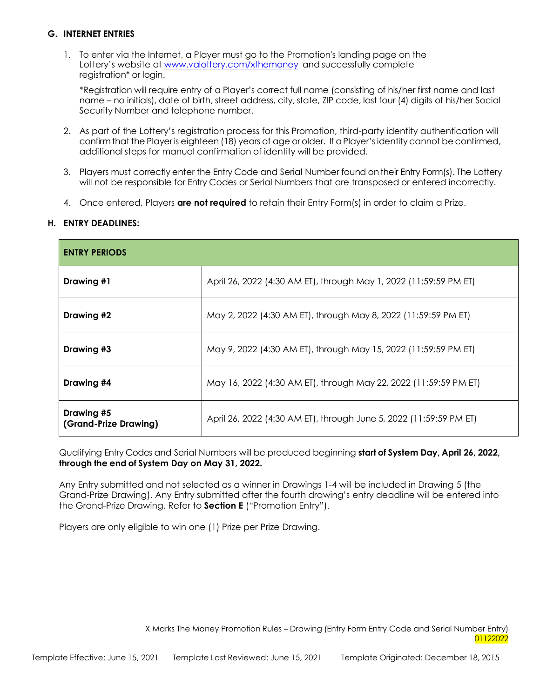# **G. INTERNET ENTRIES**

1. To enter via the Internet, a Player must go to the Promotion's landing page on the Lottery's website at [www.valottery.com/xthemoney](http://www.valottery.com/xthemoney) and successfully complete registration\* or login.

\*Registration will require entry of a Player's correct full name (consisting of his/her first name and last name – no initials), date of birth, street address, city, state, ZIP code, last four (4) digits of his/her Social Security Number and telephone number.

- 2. As part of the Lottery's registration process for this Promotion, third-party identity authentication will confirmthat the Player is eighteen (18) years of age orolder. If aPlayer's identity cannot be confirmed, additional steps for manual confirmation of identity will be provided.
- 3. Players must correctly enter the Entry Code and Serial Number found ontheir Entry Form(s). The Lottery will not be responsible for Entry Codes or Serial Numbers that are transposed or entered incorrectly.
- 4. Once entered, Players **are not required** to retain their Entry Form(s) in order to claim a Prize.

#### **H. ENTRY DEADLINES:**

| <b>ENTRY PERIODS</b>                |                                                                    |  |
|-------------------------------------|--------------------------------------------------------------------|--|
| Drawing #1                          | April 26, 2022 (4:30 AM ET), through May 1, 2022 (11:59:59 PM ET)  |  |
| Drawing #2                          | May 2, 2022 (4:30 AM ET), through May 8, 2022 (11:59:59 PM ET)     |  |
| Drawing #3                          | May 9, 2022 (4:30 AM ET), through May 15, 2022 (11:59:59 PM ET)    |  |
| Drawing #4                          | May 16, 2022 (4:30 AM ET), through May 22, 2022 (11:59:59 PM ET)   |  |
| Drawing #5<br>(Grand-Prize Drawing) | April 26, 2022 (4:30 AM ET), through June 5, 2022 (11:59:59 PM ET) |  |

Qualifying Entry Codes and Serial Numbers will be produced beginning **start of System Day, April 26, 2022, through the end of System Day on May 31, 2022.**

Any Entry submitted and not selected as a winner in Drawings 1-4 will be included in Drawing 5 (the Grand-Prize Drawing). Any Entry submitted after the fourth drawing's entry deadline will be entered into the Grand-Prize Drawing. Refer to **Section E** ("Promotion Entry").

Players are only eligible to win one (1) Prize per Prize Drawing.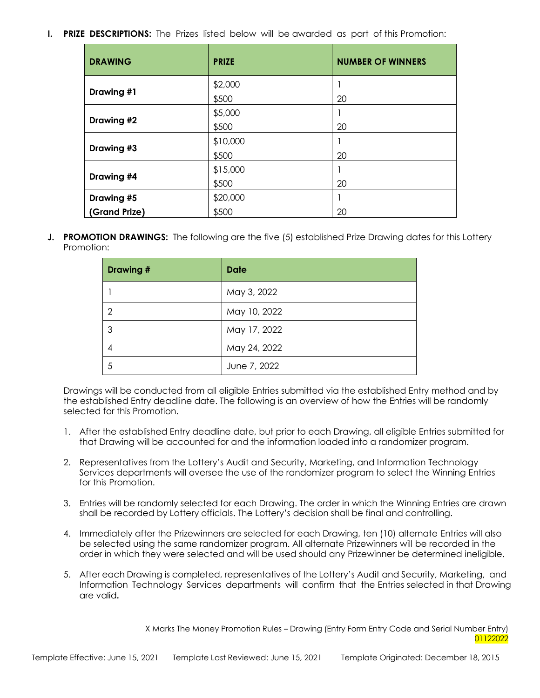# **I. PRIZE DESCRIPTIONS:** The Prizes listed below will be awarded as part of this Promotion:

| <b>DRAWING</b> | <b>PRIZE</b> | <b>NUMBER OF WINNERS</b> |
|----------------|--------------|--------------------------|
|                | \$2,000      |                          |
| Drawing #1     | \$500        | 20                       |
|                | \$5,000      |                          |
| Drawing #2     | \$500        | 20                       |
|                | \$10,000     |                          |
| Drawing #3     | \$500        | 20                       |
|                | \$15,000     |                          |
| Drawing #4     | \$500        | 20                       |
| Drawing #5     | \$20,000     |                          |
| (Grand Prize)  | \$500        | 20                       |

**J. PROMOTION DRAWINGS:** The following are the five (5) established Prize Drawing dates for this Lottery Promotion:

| <b>Drawing#</b> | <b>Date</b>  |
|-----------------|--------------|
|                 | May 3, 2022  |
| 2               | May 10, 2022 |
| 3               | May 17, 2022 |
| 4               | May 24, 2022 |
| 5               | June 7, 2022 |

Drawings will be conducted from all eligible Entries submitted via the established Entry method and by the established Entry deadline date. The following is an overview of how the Entries will be randomly selected for this Promotion.

- 1. After the established Entry deadline date, but prior to each Drawing, all eligible Entries submitted for that Drawing will be accounted for and the information loaded into a randomizer program.
- 2. Representatives from the Lottery's Audit and Security, Marketing, and Information Technology Services departments will oversee the use of the randomizer program to select the Winning Entries for this Promotion.
- 3. Entries will be randomly selected for each Drawing. The order in which the Winning Entries are drawn shall be recorded by Lottery officials. The Lottery's decision shall be final and controlling.
- 4. Immediately after the Prizewinners are selected for each Drawing, ten (10) alternate Entries will also be selected using the same randomizer program. All alternate Prizewinners will be recorded in the order in which they were selected and will be used should any Prizewinner be determined ineligible.
- 5. After each Drawing is completed, representatives of the Lottery's Audit and Security, Marketing, and Information Technology Services departments will confirm that the Entries selected in that Drawing are valid**.**

X Marks The Money Promotion Rules – Drawing (Entry Form Entry Code and Serial Number Entry) 01122022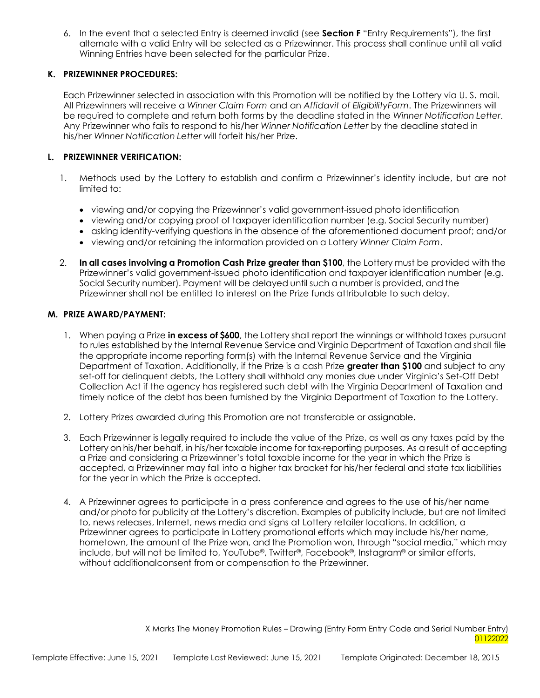6. In the event that a selected Entry is deemed invalid (see **Section F** "Entry Requirements"), the first alternate with a valid Entry will be selected as a Prizewinner. This process shall continue until all valid Winning Entries have been selected for the particular Prize.

### **K. PRIZEWINNER PROCEDURES:**

Each Prizewinner selected in association with this Promotion will be notified by the Lottery via U. S. mail. All Prizewinners will receive a *Winner Claim Form* and an *Affidavit of EligibilityForm*. The Prizewinners will be required to complete and return both forms by the deadline stated in the *Winner Notification Letter*. Any Prizewinner who fails to respond to his/her *Winner Notification Letter* by the deadline stated in his/her *Winner Notification Letter* will forfeit his/her Prize.

# **L. PRIZEWINNER VERIFICATION:**

- 1. Methods used by the Lottery to establish and confirm a Prizewinner's identity include, but are not limited to:
	- viewing and/or copying the Prizewinner's valid government-issued photo identification
	- viewing and/or copying proof of taxpayer identification number (e.g. Social Security number)
	- asking identity-verifying questions in the absence of the aforementioned document proof; and/or
	- viewing and/or retaining the information provided on a Lottery *Winner Claim Form*.
- 2. **In all cases involving a Promotion Cash Prize greater than \$100**, the Lottery must be provided with the Prizewinner's valid government-issued photo identification and taxpayer identification number (e.g. Social Security number). Payment will be delayed until such a number is provided, and the Prizewinner shall not be entitled to interest on the Prize funds attributable to such delay.

#### **M. PRIZE AWARD/PAYMENT:**

- 1. When paying a Prize **in excess of \$600**, the Lottery shall report the winnings or withhold taxes pursuant to rules established by the Internal Revenue Service and Virginia Department of Taxation and shall file the appropriate income reporting form(s) with the Internal Revenue Service and the Virginia Department of Taxation. Additionally, if the Prize is a cash Prize **greater than \$100** and subject to any set-off for delinquent debts, the Lottery shall withhold any monies due under Virginia's Set-Off Debt Collection Act if the agency has registered such debt with the Virginia Department of Taxation and timely notice of the debt has been furnished by the Virginia Department of Taxation to the Lottery.
- 2. Lottery Prizes awarded during this Promotion are not transferable or assignable.
- 3. Each Prizewinner is legally required to include the value of the Prize, as well as any taxes paid by the Lottery on his/her behalf, in his/her taxable income for tax-reporting purposes. As a result of accepting a Prize and considering a Prizewinner's total taxable income for the year in which the Prize is accepted, a Prizewinner may fall into a higher tax bracket for his/her federal and state tax liabilities for the year in which the Prize is accepted.
- 4. A Prizewinner agrees to participate in a press conference and agrees to the use of his/her name and/or photo for publicity at the Lottery's discretion. Examples of publicity include, but are not limited to, news releases, Internet, news media and signs at Lottery retailer locations. In addition, a Prizewinner agrees to participate in Lottery promotional efforts which may include his/her name, hometown, the amount of the Prize won, and the Promotion won, through "social media," which may include, but will not be limited to, YouTube®, Twitter®, Facebook®, Instagram® or similar efforts, without additionalconsent from or compensation to the Prizewinner.